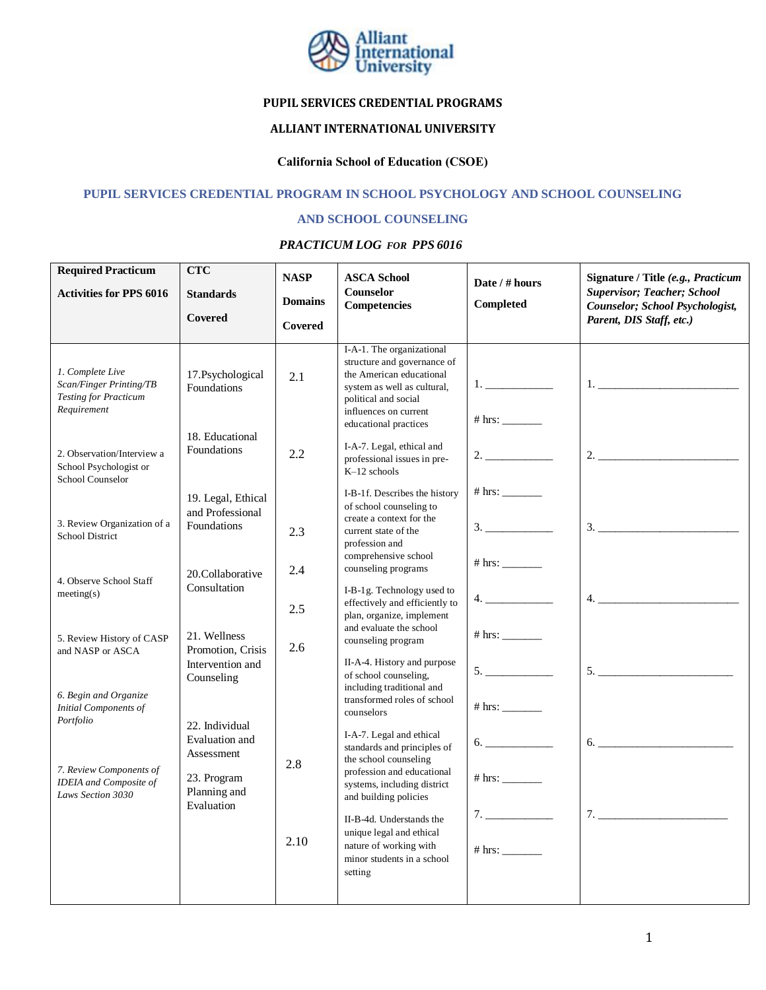

# **PUPIL SERVICES CREDENTIAL PROGRAMS**

# **ALLIANT INTERNATIONAL UNIVERSITY**

# **California School of Education (CSOE)**

### **PUPIL SERVICES CREDENTIAL PROGRAM IN SCHOOL PSYCHOLOGY AND SCHOOL COUNSELING**

#### **AND SCHOOL COUNSELING**

#### *PRACTICUM LOG FOR PPS 6016*

| <b>Required Practicum</b><br><b>Activities for PPS 6016</b>                                | <b>CTC</b><br><b>Standards</b><br>Covered                                        | <b>NASP</b><br><b>Domains</b><br>Covered                                                                                 | <b>ASCA School</b><br><b>Counselor</b><br><b>Competencies</b>                                                                                                                                                                  | Date / # hours<br>Completed             | Signature / Title (e.g., Practicum<br><b>Supervisor; Teacher; School</b><br>Counselor; School Psychologist,<br>Parent, DIS Staff, etc.)                                                                                                                                                                                                                                                                                                                                                                                                            |
|--------------------------------------------------------------------------------------------|----------------------------------------------------------------------------------|--------------------------------------------------------------------------------------------------------------------------|--------------------------------------------------------------------------------------------------------------------------------------------------------------------------------------------------------------------------------|-----------------------------------------|----------------------------------------------------------------------------------------------------------------------------------------------------------------------------------------------------------------------------------------------------------------------------------------------------------------------------------------------------------------------------------------------------------------------------------------------------------------------------------------------------------------------------------------------------|
| 1. Complete Live<br>Scan/Finger Printing/TB<br><b>Testing for Practicum</b><br>Requirement | 17.Psychological<br>Foundations                                                  | 2.1                                                                                                                      | I-A-1. The organizational<br>structure and governance of<br>the American educational<br>system as well as cultural,<br>political and social<br>influences on current<br>educational practices                                  | $1. \underline{\hspace{2cm}}$<br># hrs: |                                                                                                                                                                                                                                                                                                                                                                                                                                                                                                                                                    |
| 2. Observation/Interview a<br>School Psychologist or<br>School Counselor                   | 18. Educational<br>Foundations                                                   | 2.2                                                                                                                      | I-A-7. Legal, ethical and<br>professional issues in pre-<br>$K-12$ schools                                                                                                                                                     |                                         |                                                                                                                                                                                                                                                                                                                                                                                                                                                                                                                                                    |
| 3. Review Organization of a<br>School District                                             | 19. Legal, Ethical<br>and Professional<br>Foundations                            | 2.3                                                                                                                      | I-B-1f. Describes the history<br>of school counseling to<br>create a context for the<br>current state of the<br>profession and<br>comprehensive school                                                                         | 3.                                      | $\begin{array}{c} \n \text{3.} \quad \text{---} \quad \text{---} \quad \text{---} \quad \text{---} \quad \text{---} \quad \text{---} \quad \text{---} \quad \text{---} \quad \text{---} \quad \text{---} \quad \text{---} \quad \text{---} \quad \text{---} \quad \text{---} \quad \text{---} \quad \text{---} \quad \text{---} \quad \text{---} \quad \text{---} \quad \text{---} \quad \text{---} \quad \text{---} \quad \text{---} \quad \text{---} \quad \text{---} \quad \text{---} \quad \text{---} \quad \text{---} \quad \text{---} \quad$ |
| 4. Observe School Staff<br>meeting(s)                                                      | 20.Collaborative<br>Consultation                                                 | 2.4<br>2.5                                                                                                               | counseling programs<br>I-B-1g. Technology used to<br>effectively and efficiently to<br>plan, organize, implement                                                                                                               | 4.                                      |                                                                                                                                                                                                                                                                                                                                                                                                                                                                                                                                                    |
| 5. Review History of CASP<br>and NASP or ASCA                                              | 21. Wellness<br>Promotion, Crisis<br>Intervention and<br>Counseling              | and evaluate the school<br>counseling program<br>2.6<br>of school counseling,<br>including traditional and<br>counselors | II-A-4. History and purpose                                                                                                                                                                                                    | # hrs:<br>5.                            |                                                                                                                                                                                                                                                                                                                                                                                                                                                                                                                                                    |
| 6. Begin and Organize<br><b>Initial Components of</b><br>Portfolio                         | 22. Individual                                                                   |                                                                                                                          | transformed roles of school                                                                                                                                                                                                    |                                         |                                                                                                                                                                                                                                                                                                                                                                                                                                                                                                                                                    |
| 7. Review Components of<br><b>IDEIA</b> and Composite of<br>Laws Section 3030              | <b>Evaluation</b> and<br>Assessment<br>23. Program<br>Planning and<br>Evaluation | 2.8                                                                                                                      | I-A-7. Legal and ethical<br>standards and principles of<br>the school counseling<br>profession and educational<br>systems, including district<br>and building policies<br>II-B-4d. Understands the<br>unique legal and ethical | 6.<br>7.                                | 6.<br>7.                                                                                                                                                                                                                                                                                                                                                                                                                                                                                                                                           |
|                                                                                            |                                                                                  | 2.10                                                                                                                     | nature of working with<br>minor students in a school<br>setting                                                                                                                                                                |                                         |                                                                                                                                                                                                                                                                                                                                                                                                                                                                                                                                                    |